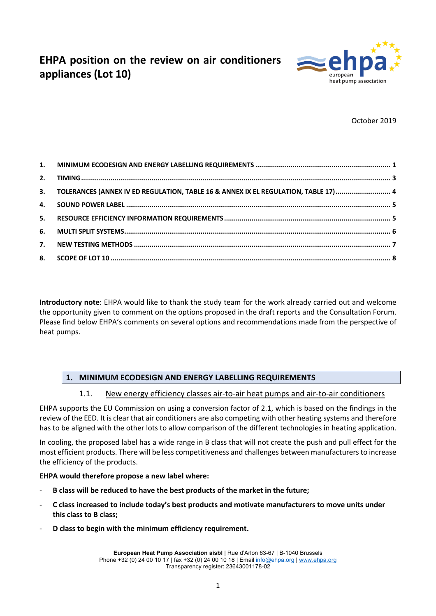# **EHPA position on the review on air conditioners appliances (Lot 10)**



October 2019

| 3. TOLERANCES (ANNEX IV ED REGULATION, TABLE 16 & ANNEX IX EL REGULATION, TABLE 17)  4 |  |
|----------------------------------------------------------------------------------------|--|
|                                                                                        |  |
|                                                                                        |  |
|                                                                                        |  |
|                                                                                        |  |
|                                                                                        |  |

**Introductory note**: EHPA would like to thank the study team for the work already carried out and welcome the opportunity given to comment on the options proposed in the draft reports and the Consultation Forum. Please find below EHPA's comments on several options and recommendations made from the perspective of heat pumps.

# **1. MINIMUM ECODESIGN AND ENERGY LABELLING REQUIREMENTS**

#### 1.1. New energy efficiency classes air-to-air heat pumps and air-to-air conditioners

EHPA supports the EU Commission on using a conversion factor of 2.1, which is based on the findings in the review of the EED. It is clear that air conditioners are also competing with other heating systems and therefore has to be aligned with the other lots to allow comparison of the different technologies in heating application.

In cooling, the proposed label has a wide range in B class that will not create the push and pull effect for the most efficient products. There will be less competitiveness and challenges between manufacturers to increase the efficiency of the products.

#### **EHPA would therefore propose a new label where:**

- **B class will be reduced to have the best products of the market in the future;**
- **C class increased to include today's best products and motivate manufacturers to move units under this class to B class;**
- **D class to begin with the minimum efficiency requirement.**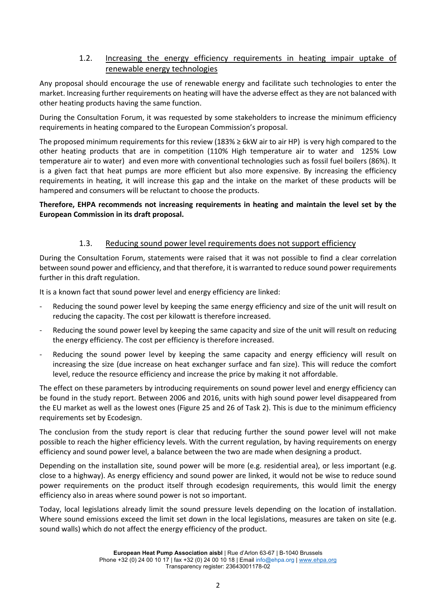# 1.2. Increasing the energy efficiency requirements in heating impair uptake of renewable energy technologies

Any proposal should encourage the use of renewable energy and facilitate such technologies to enter the market. Increasing further requirements on heating will have the adverse effect as they are not balanced with other heating products having the same function.

During the Consultation Forum, it was requested by some stakeholders to increase the minimum efficiency requirements in heating compared to the European Commission's proposal.

The proposed minimum requirements for this review (183%  $\geq$  6kW air to air HP) is very high compared to the other heating products that are in competition (110% High temperature air to water and 125% Low temperature air to water) and even more with conventional technologies such as fossil fuel boilers (86%). It is a given fact that heat pumps are more efficient but also more expensive. By increasing the efficiency requirements in heating, it will increase this gap and the intake on the market of these products will be hampered and consumers will be reluctant to choose the products.

#### **Therefore, EHPA recommends not increasing requirements in heating and maintain the level set by the European Commission in its draft proposal.**

# 1.3. Reducing sound power level requirements does not support efficiency

During the Consultation Forum, statements were raised that it was not possible to find a clear correlation between sound power and efficiency, and that therefore, it is warranted to reduce sound power requirements further in this draft regulation.

It is a known fact that sound power level and energy efficiency are linked:

- Reducing the sound power level by keeping the same energy efficiency and size of the unit will result on reducing the capacity. The cost per kilowatt is therefore increased.
- Reducing the sound power level by keeping the same capacity and size of the unit will result on reducing the energy efficiency. The cost per efficiency is therefore increased.
- Reducing the sound power level by keeping the same capacity and energy efficiency will result on increasing the size (due increase on heat exchanger surface and fan size). This will reduce the comfort level, reduce the resource efficiency and increase the price by making it not affordable.

The effect on these parameters by introducing requirements on sound power level and energy efficiency can be found in the study report. Between 2006 and 2016, units with high sound power level disappeared from the EU market as well as the lowest ones (Figure 25 and 26 of Task 2). This is due to the minimum efficiency requirements set by Ecodesign.

The conclusion from the study report is clear that reducing further the sound power level will not make possible to reach the higher efficiency levels. With the current regulation, by having requirements on energy efficiency and sound power level, a balance between the two are made when designing a product.

Depending on the installation site, sound power will be more (e.g. residential area), or less important (e.g. close to a highway). As energy efficiency and sound power are linked, it would not be wise to reduce sound power requirements on the product itself through ecodesign requirements, this would limit the energy efficiency also in areas where sound power is not so important.

Today, local legislations already limit the sound pressure levels depending on the location of installation. Where sound emissions exceed the limit set down in the local legislations, measures are taken on site (e.g. sound walls) which do not affect the energy efficiency of the product.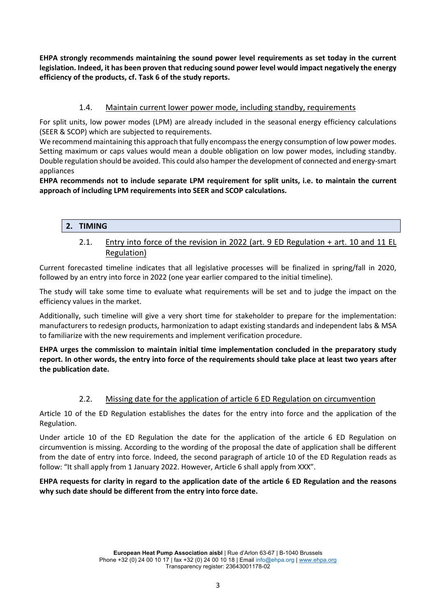**EHPA strongly recommends maintaining the sound power level requirements as set today in the current legislation. Indeed, it has been proven that reducing sound power level would impact negatively the energy efficiency of the products, cf. Task 6 of the study reports.**

# 1.4. Maintain current lower power mode, including standby, requirements

For split units, low power modes (LPM) are already included in the seasonal energy efficiency calculations (SEER & SCOP) which are subjected to requirements.

We recommend maintaining this approach that fully encompass the energy consumption of low power modes. Setting maximum or caps values would mean a double obligation on low power modes, including standby. Double regulation should be avoided. This could also hamper the development of connected and energy-smart appliances

**EHPA recommends not to include separate LPM requirement for split units, i.e. to maintain the current approach of including LPM requirements into SEER and SCOP calculations.**

### **2. TIMING**

2.1. Entry into force of the revision in 2022 (art. 9 ED Regulation + art. 10 and 11 EL Regulation)

Current forecasted timeline indicates that all legislative processes will be finalized in spring/fall in 2020, followed by an entry into force in 2022 (one year earlier compared to the initial timeline).

The study will take some time to evaluate what requirements will be set and to judge the impact on the efficiency values in the market.

Additionally, such timeline will give a very short time for stakeholder to prepare for the implementation: manufacturers to redesign products, harmonization to adapt existing standards and independent labs & MSA to familiarize with the new requirements and implement verification procedure.

**EHPA urges the commission to maintain initial time implementation concluded in the preparatory study report. In other words, the entry into force of the requirements should take place at least two years after the publication date.** 

#### 2.2. Missing date for the application of article 6 ED Regulation on circumvention

Article 10 of the ED Regulation establishes the dates for the entry into force and the application of the Regulation.

Under article 10 of the ED Regulation the date for the application of the article 6 ED Regulation on circumvention is missing. According to the wording of the proposal the date of application shall be different from the date of entry into force. Indeed, the second paragraph of article 10 of the ED Regulation reads as follow: "It shall apply from 1 January 2022. However, Article 6 shall apply from XXX".

#### **EHPA requests for clarity in regard to the application date of the article 6 ED Regulation and the reasons why such date should be different from the entry into force date.**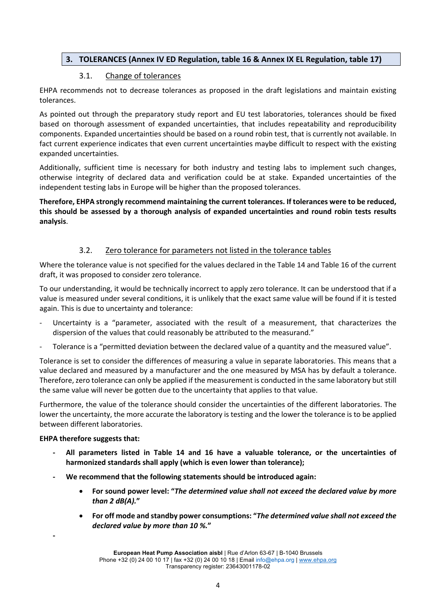# **3. TOLERANCES (Annex IV ED Regulation, table 16 & Annex IX EL Regulation, table 17)**

#### 3.1. Change of tolerances

EHPA recommends not to decrease tolerances as proposed in the draft legislations and maintain existing tolerances.

As pointed out through the preparatory study report and EU test laboratories, tolerances should be fixed based on thorough assessment of expanded uncertainties, that includes repeatability and reproducibility components. Expanded uncertainties should be based on a round robin test, that is currently not available. In fact current experience indicates that even current uncertainties maybe difficult to respect with the existing expanded uncertainties.

Additionally, sufficient time is necessary for both industry and testing labs to implement such changes, otherwise integrity of declared data and verification could be at stake. Expanded uncertainties of the independent testing labs in Europe will be higher than the proposed tolerances.

**Therefore, EHPA strongly recommend maintaining the current tolerances. If tolerances were to be reduced, this should be assessed by a thorough analysis of expanded uncertainties and round robin tests results analysis**.

### 3.2. Zero tolerance for parameters not listed in the tolerance tables

Where the tolerance value is not specified for the values declared in the Table 14 and Table 16 of the current draft, it was proposed to consider zero tolerance.

To our understanding, it would be technically incorrect to apply zero tolerance. It can be understood that if a value is measured under several conditions, it is unlikely that the exact same value will be found if it is tested again. This is due to uncertainty and tolerance:

- Uncertainty is a "parameter, associated with the result of a measurement, that characterizes the dispersion of the values that could reasonably be attributed to the measurand."
- Tolerance is a "permitted deviation between the declared value of a quantity and the measured value".

Tolerance is set to consider the differences of measuring a value in separate laboratories. This means that a value declared and measured by a manufacturer and the one measured by MSA has by default a tolerance. Therefore, zero tolerance can only be applied if the measurement is conducted in the same laboratory but still the same value will never be gotten due to the uncertainty that applies to that value.

Furthermore, the value of the tolerance should consider the uncertainties of the different laboratories. The lower the uncertainty, the more accurate the laboratory is testing and the lower the tolerance is to be applied between different laboratories.

#### **EHPA therefore suggests that:**

**-**

- **- All parameters listed in Table 14 and 16 have a valuable tolerance, or the uncertainties of harmonized standards shall apply (which is even lower than tolerance);**
- **- We recommend that the following statements should be introduced again:**
	- **For sound power level: "***The determined value shall not exceed the declared value by more than 2 dB(A).***"**
	- **For off mode and standby power consumptions: "***The determined value shall not exceed the declared value by more than 10 %.***"**

**European Heat Pump Association aisbl** | Rue d'Arlon 63-67 | B-1040 Brussels Phone +32 (0) 24 00 10 17 | fax +32 (0) 24 00 10 18 | Email info@ehpa.org | www.ehpa.org Transparency register: 23643001178-02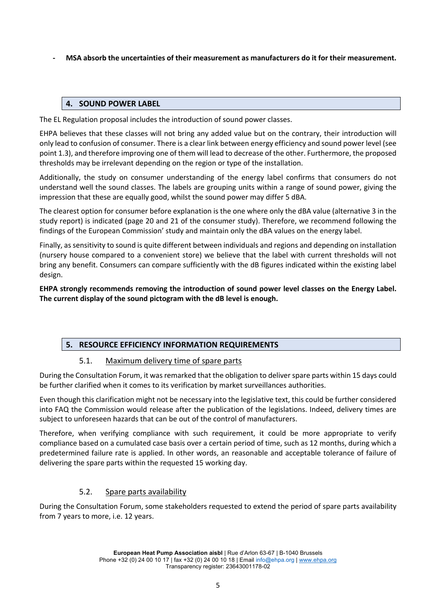**- MSA absorb the uncertainties of their measurement as manufacturers do it for their measurement.**

### **4. SOUND POWER LABEL**

The EL Regulation proposal includes the introduction of sound power classes.

EHPA believes that these classes will not bring any added value but on the contrary, their introduction will only lead to confusion of consumer. There is a clear link between energy efficiency and sound power level (see point 1.3), and therefore improving one of them will lead to decrease of the other. Furthermore, the proposed thresholds may be irrelevant depending on the region or type of the installation.

Additionally, the study on consumer understanding of the energy label confirms that consumers do not understand well the sound classes. The labels are grouping units within a range of sound power, giving the impression that these are equally good, whilst the sound power may differ 5 dBA.

The clearest option for consumer before explanation is the one where only the dBA value (alternative 3 in the study report) is indicated (page 20 and 21 of the consumer study). Therefore, we recommend following the findings of the European Commission' study and maintain only the dBA values on the energy label.

Finally, as sensitivity to sound is quite different between individuals and regions and depending on installation (nursery house compared to a convenient store) we believe that the label with current thresholds will not bring any benefit. Consumers can compare sufficiently with the dB figures indicated within the existing label design.

**EHPA strongly recommends removing the introduction of sound power level classes on the Energy Label. The current display of the sound pictogram with the dB level is enough.**

# **5. RESOURCE EFFICIENCY INFORMATION REQUIREMENTS**

#### 5.1. Maximum delivery time of spare parts

During the Consultation Forum, it was remarked that the obligation to deliver spare parts within 15 days could be further clarified when it comes to its verification by market surveillances authorities.

Even though this clarification might not be necessary into the legislative text, this could be further considered into FAQ the Commission would release after the publication of the legislations. Indeed, delivery times are subject to unforeseen hazards that can be out of the control of manufacturers.

Therefore, when verifying compliance with such requirement, it could be more appropriate to verify compliance based on a cumulated case basis over a certain period of time, such as 12 months, during which a predetermined failure rate is applied. In other words, an reasonable and acceptable tolerance of failure of delivering the spare parts within the requested 15 working day.

# 5.2. Spare parts availability

During the Consultation Forum, some stakeholders requested to extend the period of spare parts availability from 7 years to more, i.e. 12 years.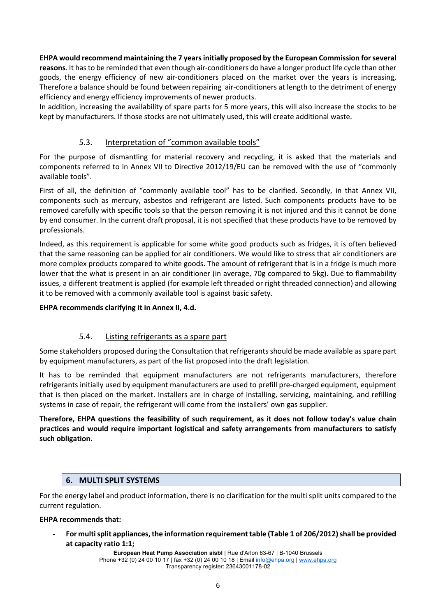# **EHPA would recommend maintaining the 7 years initially proposed by the European Commission for several**

**reasons**. It has to be reminded that even though air-conditioners do have a longer product life cycle than other goods, the energy efficiency of new air-conditioners placed on the market over the years is increasing, Therefore a balance should be found between repairing air-conditioners at length to the detriment of energy efficiency and energy efficiency improvements of newer products.

In addition, increasing the availability of spare parts for 5 more years, this will also increase the stocks to be kept by manufacturers. If those stocks are not ultimately used, this will create additional waste.

# 5.3. Interpretation of "common available tools"

For the purpose of dismantling for material recovery and recycling, it is asked that the materials and components referred to in Annex VII to Directive 2012/19/EU can be removed with the use of "commonly available tools".

First of all, the definition of "commonly available tool" has to be clarified. Secondly, in that Annex VII, components such as mercury, asbestos and refrigerant are listed. Such components products have to be removed carefully with specific tools so that the person removing it is not injured and this it cannot be done by end consumer. In the current draft proposal, it is not specified that these products have to be removed by professionals.

Indeed, as this requirement is applicable for some white good products such as fridges, it is often believed that the same reasoning can be applied for air conditioners. We would like to stress that air conditioners are more complex products compared to white goods. The amount of refrigerant that is in a fridge is much more lower that the what is present in an air conditioner (in average, 70g compared to 5kg). Due to flammability issues, a different treatment is applied (for example left threaded or right threaded connection) and allowing it to be removed with a commonly available tool is against basic safety.

#### **EHPA recommends clarifying it in Annex II, 4.d.**

# 5.4. Listing refrigerants as a spare part

Some stakeholders proposed during the Consultation that refrigerants should be made available as spare part by equipment manufacturers, as part of the list proposed into the draft legislation.

It has to be reminded that equipment manufacturers are not refrigerants manufacturers, therefore refrigerants initially used by equipment manufacturers are used to prefill pre-charged equipment, equipment that is then placed on the market. Installers are in charge of installing, servicing, maintaining, and refilling systems in case of repair, the refrigerant will come from the installers' own gas supplier.

**Therefore, EHPA questions the feasibility of such requirement, as it does not follow today's value chain practices and would require important logistical and safety arrangements from manufacturers to satisfy such obligation.**

# **6. MULTI SPLIT SYSTEMS**

For the energy label and product information, there is no clarification for the multi split units compared to the current regulation.

#### **EHPA recommends that:**

- **For multi split appliances, the information requirement table (Table 1 of 206/2012) shall be provided at capacity ratio 1:1;** 

> **European Heat Pump Association aisbl** | Rue d'Arlon 63-67 | B-1040 Brussels Phone +32 (0) 24 00 10 17 | fax +32 (0) 24 00 10 18 | Email info@ehpa.org | www.ehpa.org Transparency register: 23643001178-02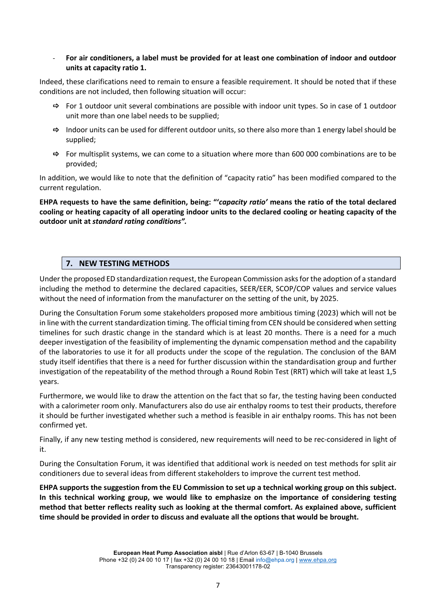- **For air conditioners, a label must be provided for at least one combination of indoor and outdoor units at capacity ratio 1.** 

Indeed, these clarifications need to remain to ensure a feasible requirement. It should be noted that if these conditions are not included, then following situation will occur:

- $\Rightarrow$  For 1 outdoor unit several combinations are possible with indoor unit types. So in case of 1 outdoor unit more than one label needs to be supplied;
- $\Rightarrow$  Indoor units can be used for different outdoor units, so there also more than 1 energy label should be supplied;
- $\Rightarrow$  For multisplit systems, we can come to a situation where more than 600 000 combinations are to be provided;

In addition, we would like to note that the definition of "capacity ratio" has been modified compared to the current regulation.

**EHPA requests to have the same definition, being: "'***capacity ratio'* **means the ratio of the total declared cooling or heating capacity of all operating indoor units to the declared cooling or heating capacity of the outdoor unit at** *standard rating conditions".*

#### **7. NEW TESTING METHODS**

Under the proposed ED standardization request, the European Commission asks for the adoption of a standard including the method to determine the declared capacities, SEER/EER, SCOP/COP values and service values without the need of information from the manufacturer on the setting of the unit, by 2025.

During the Consultation Forum some stakeholders proposed more ambitious timing (2023) which will not be in line with the current standardization timing. The official timing from CEN should be considered when setting timelines for such drastic change in the standard which is at least 20 months. There is a need for a much deeper investigation of the feasibility of implementing the dynamic compensation method and the capability of the laboratories to use it for all products under the scope of the regulation. The conclusion of the BAM study itself identifies that there is a need for further discussion within the standardisation group and further investigation of the repeatability of the method through a Round Robin Test (RRT) which will take at least 1,5 years.

Furthermore, we would like to draw the attention on the fact that so far, the testing having been conducted with a calorimeter room only. Manufacturers also do use air enthalpy rooms to test their products, therefore it should be further investigated whether such a method is feasible in air enthalpy rooms. This has not been confirmed yet.

Finally, if any new testing method is considered, new requirements will need to be rec-considered in light of it.

During the Consultation Forum, it was identified that additional work is needed on test methods for split air conditioners due to several ideas from different stakeholders to improve the current test method.

**EHPA supports the suggestion from the EU Commission to set up a technical working group on this subject. In this technical working group, we would like to emphasize on the importance of considering testing method that better reflects reality such as looking at the thermal comfort. As explained above, sufficient time should be provided in order to discuss and evaluate all the options that would be brought.**